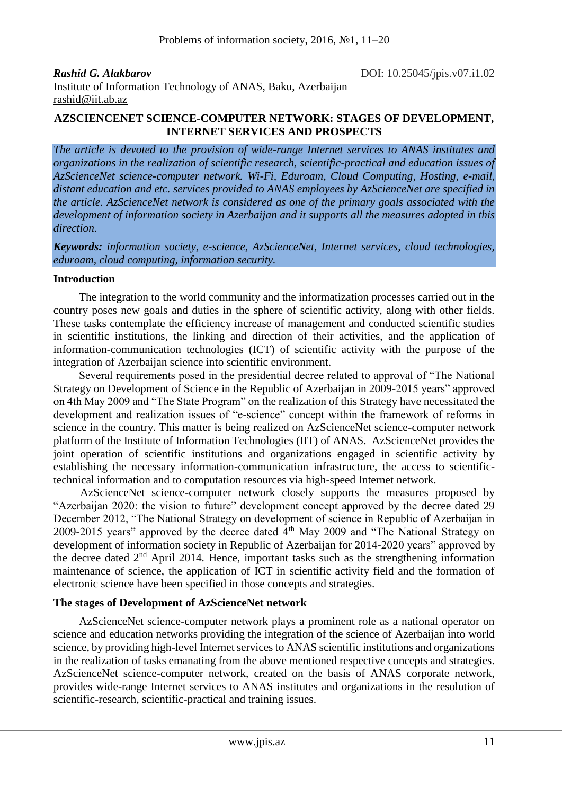*Rashid G. Alakbarov* **DOI:**  $10.25045$ /jpis.v07.i1.02

Institute of Information Technology of ANAS, Baku, Azerbaijan rashid@iit.ab.az

### **AZSCIENCENET SCIENCE-COMPUTER NETWORK: STAGES OF DEVELOPMENT, INTERNET SERVICES AND PROSPECTS**

*The article is devoted to the provision of wide-range Internet services to ANAS institutes and organizations in the realization of scientific research, scientific-practical and education issues of AzScienceNet science-computer network. Wi-Fi, Eduroam, Cloud Computing, Hosting, e-mail, distant education and etc. services provided to ANAS employees by AzScienceNet are specified in the article. AzScienceNet network is considered as one of the primary goals associated with the development of information society in Azerbaijan and it supports all the measures adopted in this direction.*

*Keywords: information society, e-science, AzScienceNet, Internet services, cloud technologies, eduroam, cloud computing, information security.*

#### **Introduction**

The integration to the world community and the informatization processes carried out in the country poses new goals and duties in the sphere of scientific activity, along with other fields. These tasks contemplate the efficiency increase of management and conducted scientific studies in scientific institutions, the linking and direction of their activities, and the application of information-communication technologies (ICT) of scientific activity with the purpose of the integration of Azerbaijan science into scientific environment.

Several requirements posed in the presidential decree related to approval of "The National Strategy on Development of Science in the Republic of Azerbaijan in 2009-2015 years" approved on 4th May 2009 and "The State Program" on the realization of this Strategy have necessitated the development and realization issues of "e-science" concept within the framework of reforms in science in the country. This matter is being realized on AzScienceNet science-computer network platform of the Institute of Information Technologies (IIT) of ANAS. AzScienceNet provides the joint operation of scientific institutions and organizations engaged in scientific activity by establishing the necessary information-communication infrastructure, the access to scientifictechnical information and to computation resources via high-speed Internet network.

AzScienceNet science-computer network closely supports the measures proposed by "Azerbaijan 2020: the vision to future" development concept approved by the decree dated 29 December 2012, "The National Strategy on development of science in Republic of Azerbaijan in 2009-2015 years" approved by the decree dated 4<sup>th</sup> May 2009 and "The National Strategy on development of information society in Republic of Azerbaijan for 2014-2020 years" approved by the decree dated 2nd April 2014. Hence, important tasks such as the strengthening information maintenance of science, the application of ICT in scientific activity field and the formation of electronic science have been specified in those concepts and strategies.

#### **The stages of Development of AzScienceNet network**

AzScienceNet science-computer network plays a prominent role as a national operator on science and education networks providing the integration of the science of Azerbaijan into world science, by providing high-level Internet services to ANAS scientific institutions and organizations in the realization of tasks emanating from the above mentioned respective concepts and strategies. AzScienceNet science-computer network, created on the basis of ANAS corporate network, provides wide-range Internet services to ANAS institutes and organizations in the resolution of scientific-research, scientific-practical and training issues.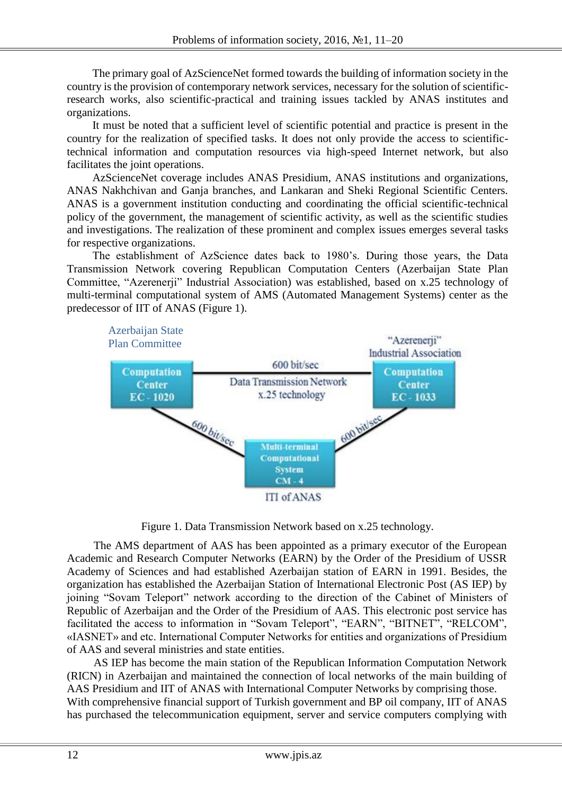The primary goal of AzScienceNet formed towards the building of information society in the country is the provision of contemporary network services, necessary for the solution of scientificresearch works, also scientific-practical and training issues tackled by ANAS institutes and organizations.

It must be noted that a sufficient level of scientific potential and practice is present in the country for the realization of specified tasks. It does not only provide the access to scientifictechnical information and computation resources via high-speed Internet network, but also facilitates the joint operations.

AzScienceNet coverage includes ANAS Presidium, ANAS institutions and organizations, ANAS Nakhchivan and Ganja branches, and Lankaran and Sheki Regional Scientific Centers. ANAS is a government institution conducting and coordinating the official scientific-technical policy of the government, the management of scientific activity, as well as the scientific studies and investigations. The realization of these prominent and complex issues emerges several tasks for respective organizations.

The establishment of AzScience dates back to 1980's. During those years, the Data Transmission Network covering Republican Computation Centers (Azerbaijan State Plan Committee, "Azerenerji" Industrial Association) was established, based on x.25 technology of multi-terminal computational system of AMS (Automated Management Systems) center as the predecessor of IIT of ANAS (Figure 1).



Figure 1. Data Transmission Network based on x.25 technology.

The AMS department of AAS has been appointed as a primary executor of the European Academic and Research Computer Networks (EARN) by the Order of the Presidium of USSR Academy of Sciences and had established Azerbaijan station of EARN in 1991. Besides, the organization has established the Azerbaijan Station of International Electronic Post (AS IEP) by joining "Sovam Teleport" network according to the direction of the Cabinet of Ministers of Republic of Azerbaijan and the Order of the Presidium of AAS. This electronic post service has facilitated the access to information in "Sovam Teleport", "EARN", "BITNET", "RELCOM", «IASNET» and etc. International Computer Networks for entities and organizations of Presidium of AAS and several ministries and state entities.

AS IEP has become the main station of the Republican Information Computation Network (RICN) in Azerbaijan and maintained the connection of local networks of the main building of AAS Presidium and IIT of ANAS with International Computer Networks by comprising those. With comprehensive financial support of Turkish government and BP oil company, IIT of ANAS has purchased the telecommunication equipment, server and service computers complying with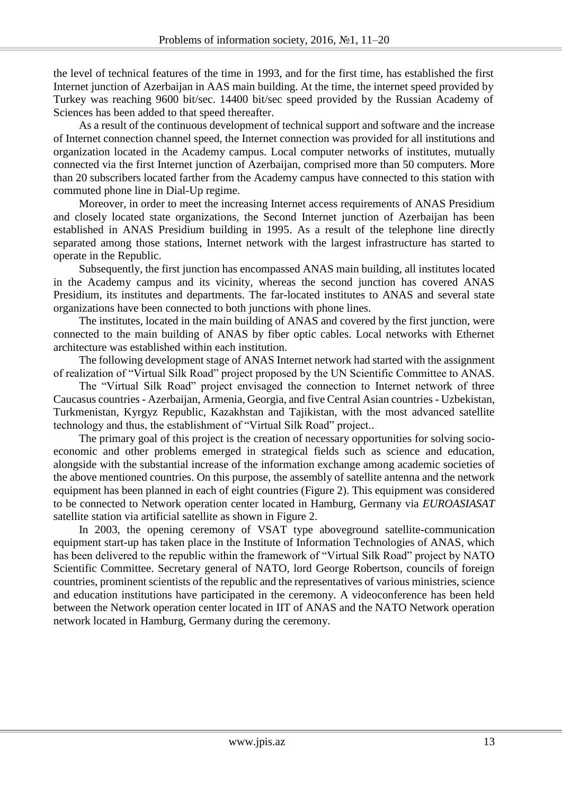the level of technical features of the time in 1993, and for the first time, has established the first Internet junction of Azerbaijan in AAS main building. At the time, the internet speed provided by Turkey was reaching 9600 bit/sec. 14400 bit/sec speed provided by the Russian Academy of Sciences has been added to that speed thereafter.

As a result of the continuous development of technical support and software and the increase of Internet connection channel speed, the Internet connection was provided for all institutions and organization located in the Academy campus. Local computer networks of institutes, mutually connected via the first Internet junction of Azerbaijan, comprised more than 50 computers. More than 20 subscribers located farther from the Academy campus have connected to this station with commuted phone line in Dial-Up regime.

Moreover, in order to meet the increasing Internet access requirements of ANAS Presidium and closely located state organizations, the Second Internet junction of Azerbaijan has been established in ANAS Presidium building in 1995. As a result of the telephone line directly separated among those stations, Internet network with the largest infrastructure has started to operate in the Republic.

Subsequently, the first junction has encompassed ANAS main building, all institutes located in the Academy campus and its vicinity, whereas the second junction has covered ANAS Presidium, its institutes and departments. The far-located institutes to ANAS and several state organizations have been connected to both junctions with phone lines.

The institutes, located in the main building of ANAS and covered by the first junction, were connected to the main building of ANAS by fiber optic cables. Local networks with Ethernet architecture was established within each institution.

The following development stage of ANAS Internet network had started with the assignment of realization of "Virtual Silk Road" project proposed by the UN Scientific Committee to ANAS.

The "Virtual Silk Road" project envisaged the connection to Internet network of three Caucasus countries - Azerbaijan, Armenia, Georgia, and five Central Asian countries - Uzbekistan, Turkmenistan, Kyrgyz Republic, Kazakhstan and Tajikistan, with the most advanced satellite technology and thus, the establishment of "Virtual Silk Road" project..

The primary goal of this project is the creation of necessary opportunities for solving socioeconomic and other problems emerged in strategical fields such as science and education, alongside with the substantial increase of the information exchange among academic societies of the above mentioned countries. On this purpose, the assembly of satellite antenna and the network equipment has been planned in each of eight countries (Figure 2). This equipment was considered to be connected to Network operation center located in Hamburg, Germany via *EUROASIASAT* satellite station via artificial satellite as shown in Figure 2.

In 2003, the opening ceremony of VSAT type aboveground satellite-communication equipment start-up has taken place in the Institute of Information Technologies of ANAS, which has been delivered to the republic within the framework of "Virtual Silk Road" project by NATO Scientific Committee. Secretary general of NATO, lord George Robertson, councils of foreign countries, prominent scientists of the republic and the representatives of various ministries, science and education institutions have participated in the ceremony. A videoconference has been held between the Network operation center located in IIT of ANAS and the NATO Network operation network located in Hamburg, Germany during the ceremony.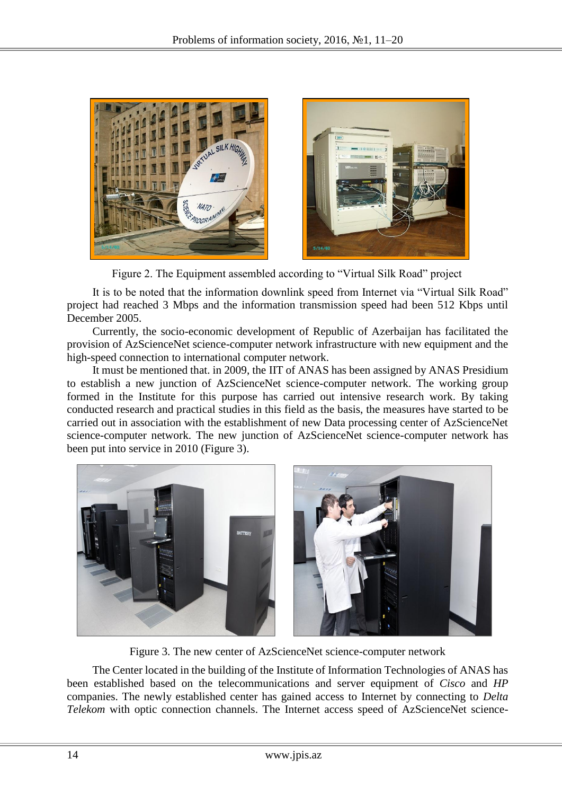

Figure 2. The Equipment assembled according to "Virtual Silk Road" project

It is to be noted that the information downlink speed from Internet via "Virtual Silk Road" project had reached 3 Mbps and the information transmission speed had been 512 Kbps until December 2005.

Currently, the socio-economic development of Republic of Azerbaijan has facilitated the provision of AzScienceNet science-computer network infrastructure with new equipment and the high-speed connection to international computer network.

It must be mentioned that. in 2009, the IIT of ANAS has been assigned by ANAS Presidium to establish a new junction of AzScienceNet science-computer network. The working group formed in the Institute for this purpose has carried out intensive research work. By taking conducted research and practical studies in this field as the basis, the measures have started to be carried out in association with the establishment of new Data processing center of AzScienceNet science-computer network. The new junction of AzScienceNet science-computer network has been put into service in 2010 (Figure 3).



Figure 3. The new center of AzScienceNet science-computer network

The Center located in the building of the Institute of Information Technologies of ANAS has been established based on the telecommunications and server equipment of *Cisco* and *HP* companies. The newly established center has gained access to Internet by connecting to *Delta Telekom* with optic connection channels. The Internet access speed of AzScienceNet science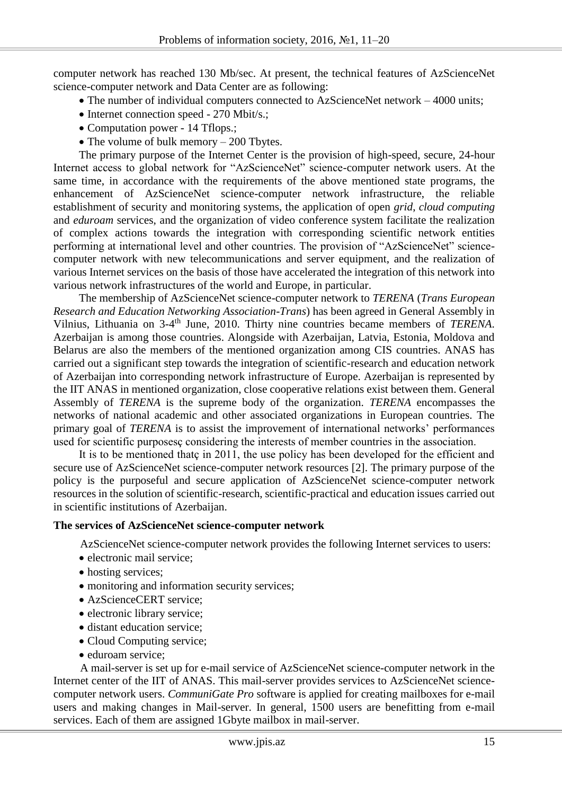computer network has reached 130 Mb/sec. At present, the technical features of AzScienceNet science-computer network and Data Center are as following:

- The number of individual computers connected to AzScienceNet network 4000 units;
- Internet connection speed 270 Mbit/s.;
- Computation power 14 Tflops.;
- The volume of bulk memory 200 Tbytes.

The primary purpose of the Internet Center is the provision of high-speed, secure, 24-hour Internet access to global network for "AzScienceNet" science-computer network users. At the same time, in accordance with the requirements of the above mentioned state programs, the enhancement of AzScienceNet science-computer network infrastructure, the reliable establishment of security and monitoring systems, the application of open *grid*, *cloud computing* and *eduroam* services, and the organization of video conference system facilitate the realization of complex actions towards the integration with corresponding scientific network entities performing at international level and other countries. The provision of "AzScienceNet" sciencecomputer network with new telecommunications and server equipment, and the realization of various Internet services on the basis of those have accelerated the integration of this network into various network infrastructures of the world and Europe, in particular.

The membership of AzScienceNet science-computer network to *TERENA* (*Trans European Research and Education Networking Association-Trans*) has been agreed in General Assembly in Vilnius, Lithuania on 3-4<sup>th</sup> June, 2010. Thirty nine countries became members of *TERENA*. Azerbaijan is among those countries. Alongside with Azerbaijan, Latvia, Estonia, Moldova and Belarus are also the members of the mentioned organization among CIS countries. ANAS has carried out a significant step towards the integration of scientific-research and education network of Azerbaijan into corresponding network infrastructure of Europe. Azerbaijan is represented by the IIT ANAS in mentioned organization, close cooperative relations exist between them. General Assembly of *TERENA* is the supreme body of the organization. *TERENA* encompasses the networks of national academic and other associated organizations in European countries. The primary goal of *TERENA* is to assist the improvement of international networks' performances used for scientific purposesç considering the interests of member countries in the association.

It is to be mentioned thatç in 2011, the use policy has been developed for the efficient and secure use of AzScienceNet science-computer network resources [2]. The primary purpose of the policy is the purposeful and secure application of AzScienceNet science-computer network resources in the solution of scientific-research, scientific-practical and education issues carried out in scientific institutions of Azerbaijan.

## **The services of AzScienceNet science-computer network**

AzScienceNet science-computer network provides the following Internet services to users:

- electronic mail service;
- hosting services;
- monitoring and information security services;
- AzScienceCERT service:
- electronic library service;
- distant education service:
- Cloud Computing service;
- eduroam service;

A mail-server is set up for e-mail service of AzScienceNet science-computer network in the Internet center of the IIT of ANAS. This mail-server provides services to AzScienceNet sciencecomputer network users. *CommuniGate Pro* software is applied for creating mailboxes for e-mail users and making changes in Mail-server. In general, 1500 users are benefitting from e-mail services. Each of them are assigned 1Gbyte mailbox in mail-server.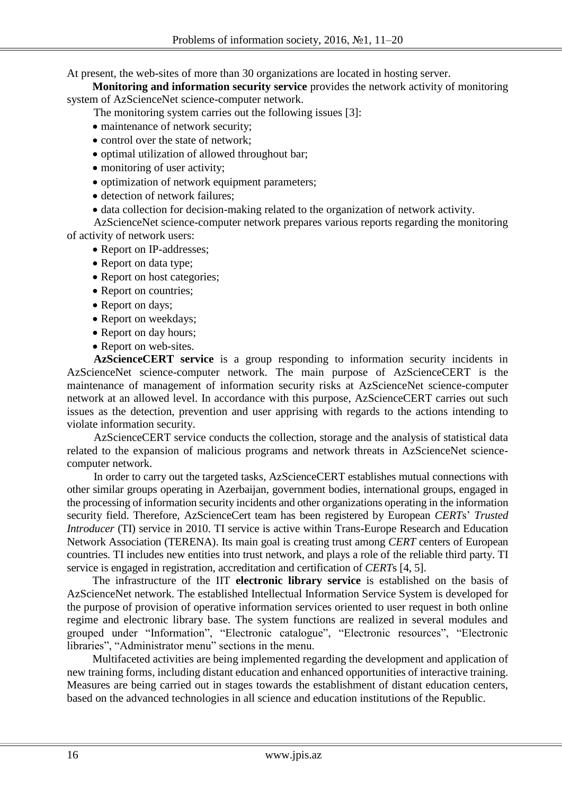At present, the web-sites of more than 30 organizations are located in hosting server.

**Monitoring and information security service** provides the network activity of monitoring system of AzScienceNet science-computer network.

The monitoring system carries out the following issues [3]:

- maintenance of network security;
- control over the state of network;
- optimal utilization of allowed throughout bar;
- monitoring of user activity;
- optimization of network equipment parameters;
- detection of network failures:
- data collection for decision-making related to the organization of network activity.

AzScienceNet science-computer network prepares various reports regarding the monitoring of activity of network users:

- Report on IP-addresses;
- Report on data type;
- Report on host categories;
- Report on countries;
- Report on days;
- Report on weekdays;
- Report on day hours;
- Report on web-sites.

**AzScienceCERT service** is a group responding to information security incidents in AzScienceNet science-computer network. The main purpose of AzScienceCERT is the maintenance of management of information security risks at AzScienceNet science-computer network at an allowed level. In accordance with this purpose, AzScienceCERT carries out such issues as the detection, prevention and user apprising with regards to the actions intending to violate information security.

AzScienceCERT service conducts the collection, storage and the analysis of statistical data related to the expansion of malicious programs and network threats in AzScienceNet sciencecomputer network.

In order to carry out the targeted tasks, AzScienceCERT establishes mutual connections with other similar groups operating in Azerbaijan, government bodies, international groups, engaged in the processing of information security incidents and other organizations operating in the information security field. Therefore, AzScienceCert team has been registered by European *CERT*s' *Trusted Introducer* (TI) service in 2010. TI service is active within Trans-Europe Research and Education Network Association (TERENA). Its main goal is creating trust among *CERT* centers of European countries. TI includes new entities into trust network, and plays a role of the reliable third party. TI service is engaged in registration, accreditation and certification of *CERT*s [4, 5].

The infrastructure of the IIT **electronic library service** is established on the basis of AzScienceNet network. The established Intellectual Information Service System is developed for the purpose of provision of operative information services oriented to user request in both online regime and electronic library base. The system functions are realized in several modules and grouped under "Information", "Electronic catalogue", "Electronic resources", "Electronic libraries", "Administrator menu" sections in the menu.

Multifaceted activities are being implemented regarding the development and application of new training forms, including distant education and enhanced opportunities of interactive training. Measures are being carried out in stages towards the establishment of distant education centers, based on the advanced technologies in all science and education institutions of the Republic.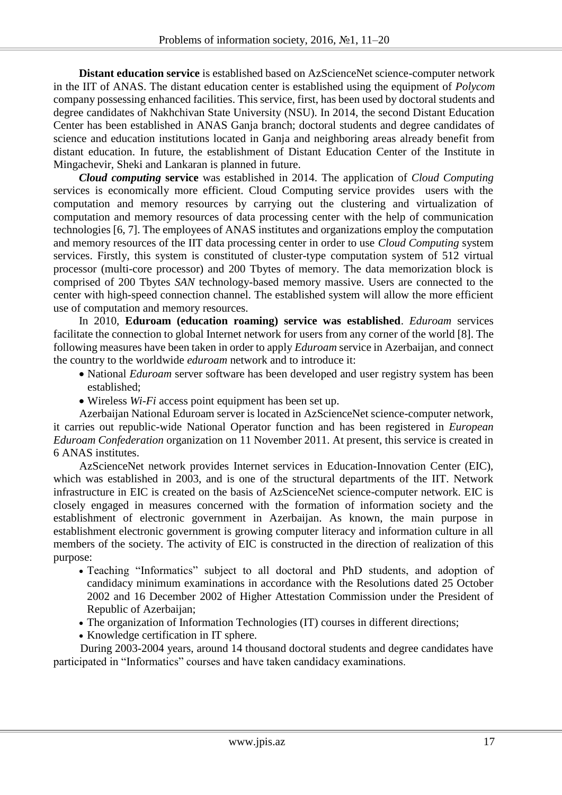**Distant education service** is established based on AzScienceNet science-computer network in the IIT of ANAS. The distant education center is established using the equipment of *Polycom* company possessing enhanced facilities. This service, first, has been used by doctoral students and degree candidates of Nakhchivan State University (NSU). In 2014, the second Distant Education Center has been established in ANAS Ganja branch; doctoral students and degree candidates of science and education institutions located in Ganja and neighboring areas already benefit from distant education. In future, the establishment of Distant Education Center of the Institute in Mingachevir, Sheki and Lankaran is planned in future.

*Cloud computing* **service** was established in 2014. The application of *Cloud Computing* services is economically more efficient. Cloud Computing service provides users with the computation and memory resources by carrying out the clustering and virtualization of computation and memory resources of data processing center with the help of communication technologies [6, 7]. The employees of ANAS institutes and organizations employ the computation and memory resources of the IIT data processing center in order to use *Cloud Computing* system services. Firstly, this system is constituted of cluster-type computation system of 512 virtual processor (multi-core processor) and 200 Tbytes of memory. The data memorization block is comprised of 200 Tbytes *SAN* technology-based memory massive. Users are connected to the center with high-speed connection channel. The established system will allow the more efficient use of computation and memory resources.

In 2010, **Eduroam (education roaming) service was established**. *Eduroam* services facilitate the connection to global Internet network for users from any corner of the world [8]. The following measures have been taken in order to apply *Eduroam* service in Azerbaijan, and connect the country to the worldwide *eduroam* network and to introduce it:

- National *Eduroam* server software has been developed and user registry system has been established;
- Wireless *Wi-Fi* access point equipment has been set up.

Azerbaijan National Eduroam server is located in AzScienceNet science-computer network, it carries out republic-wide National Operator function and has been registered in *European Eduroam Confederation* organization on 11 November 2011. At present, this service is created in 6 ANAS institutes.

AzScienceNet network provides Internet services in Education-Innovation Center (EIC), which was established in 2003, and is one of the structural departments of the IIT. Network infrastructure in EIC is created on the basis of AzScienceNet science-computer network. EIC is closely engaged in measures concerned with the formation of information society and the establishment of electronic government in Azerbaijan. As known, the main purpose in establishment electronic government is growing computer literacy and information culture in all members of the society. The activity of EIC is constructed in the direction of realization of this purpose:

- Teaching "Informatics" subject to all doctoral and PhD students, and adoption of candidacy minimum examinations in accordance with the Resolutions dated 25 October 2002 and 16 December 2002 of Higher Attestation Commission under the President of Republic of Azerbaijan;
- The organization of Information Technologies (IT) courses in different directions;
- Knowledge certification in IT sphere.

During 2003-2004 years, around 14 thousand doctoral students and degree candidates have participated in "Informatics" courses and have taken candidacy examinations.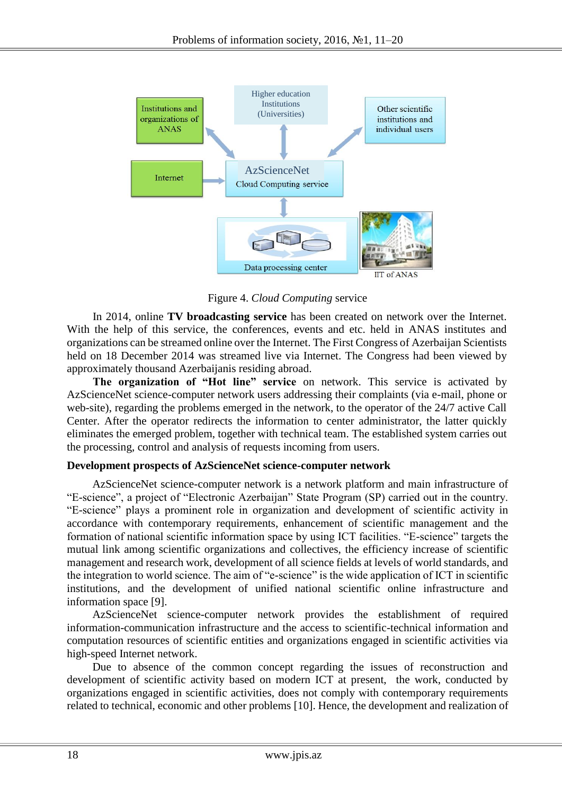

Figure 4. *Cloud Computing* service

In 2014, online **TV broadcasting service** has been created on network over the Internet. With the help of this service, the conferences, events and etc. held in ANAS institutes and organizations can be streamed online over the Internet. The First Congress of Azerbaijan Scientists held on 18 December 2014 was streamed live via Internet. The Congress had been viewed by approximately thousand Azerbaijanis residing abroad.

**The organization of "Hot line" service** on network. This service is activated by AzScienceNet science-computer network users addressing their complaints (via e-mail, phone or web-site), regarding the problems emerged in the network, to the operator of the 24/7 active Call Center. After the operator redirects the information to center administrator, the latter quickly eliminates the emerged problem, together with technical team. The established system carries out the processing, control and analysis of requests incoming from users.

## **Development prospects of AzScienceNet science-computer network**

AzScienceNet science-computer network is a network platform and main infrastructure of "E-science", a project of "Electronic Azerbaijan" State Program (SP) carried out in the country. "E-science" plays a prominent role in organization and development of scientific activity in accordance with contemporary requirements, enhancement of scientific management and the formation of national scientific information space by using ICT facilities. "E-science" targets the mutual link among scientific organizations and collectives, the efficiency increase of scientific management and research work, development of all science fields at levels of world standards, and the integration to world science. The aim of "e-science" is the wide application of ICT in scientific institutions, and the development of unified national scientific online infrastructure and information space [9].

AzScienceNet science-computer network provides the establishment of required information-communication infrastructure and the access to scientific-technical information and computation resources of scientific entities and organizations engaged in scientific activities via high-speed Internet network.

Due to absence of the common concept regarding the issues of reconstruction and development of scientific activity based on modern ICT at present, the work, conducted by organizations engaged in scientific activities, does not comply with contemporary requirements related to technical, economic and other problems [10]. Hence, the development and realization of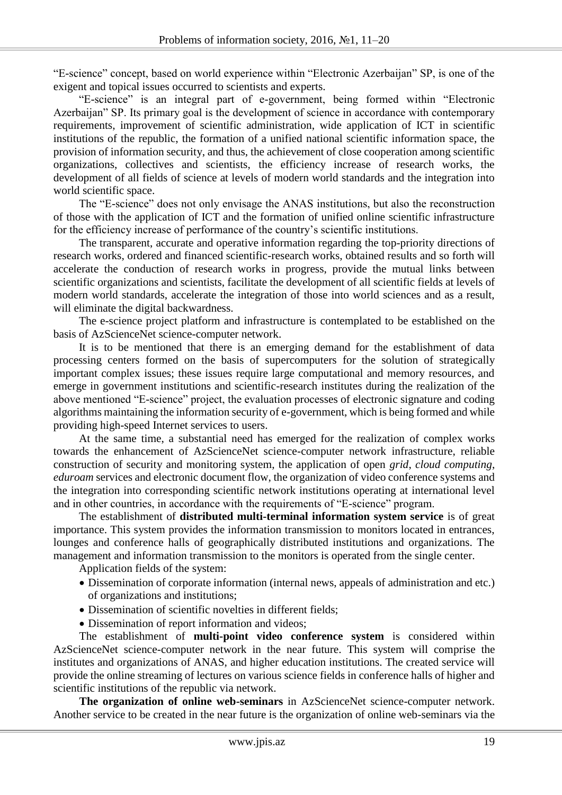"E-science" concept, based on world experience within "Electronic Azerbaijan" SP, is one of the exigent and topical issues occurred to scientists and experts.

"E-science" is an integral part of e-government, being formed within "Electronic Azerbaijan" SP. Its primary goal is the development of science in accordance with contemporary requirements, improvement of scientific administration, wide application of ICT in scientific institutions of the republic, the formation of a unified national scientific information space, the provision of information security, and thus, the achievement of close cooperation among scientific organizations, collectives and scientists, the efficiency increase of research works, the development of all fields of science at levels of modern world standards and the integration into world scientific space.

The "E-science" does not only envisage the ANAS institutions, but also the reconstruction of those with the application of ICT and the formation of unified online scientific infrastructure for the efficiency increase of performance of the country's scientific institutions.

The transparent, accurate and operative information regarding the top-priority directions of research works, ordered and financed scientific-research works, obtained results and so forth will accelerate the conduction of research works in progress, provide the mutual links between scientific organizations and scientists, facilitate the development of all scientific fields at levels of modern world standards, accelerate the integration of those into world sciences and as a result, will eliminate the digital backwardness.

The e-science project platform and infrastructure is contemplated to be established on the basis of AzScienceNet science-computer network.

It is to be mentioned that there is an emerging demand for the establishment of data processing centers formed on the basis of supercomputers for the solution of strategically important complex issues; these issues require large computational and memory resources, and emerge in government institutions and scientific-research institutes during the realization of the above mentioned "E-science" project, the evaluation processes of electronic signature and coding algorithms maintaining the information security of e-government, which is being formed and while providing high-speed Internet services to users.

At the same time, a substantial need has emerged for the realization of complex works towards the enhancement of AzScienceNet science-computer network infrastructure, reliable construction of security and monitoring system, the application of open *grid*, *cloud computing*, *eduroam* services and electronic document flow, the organization of video conference systems and the integration into corresponding scientific network institutions operating at international level and in other countries, in accordance with the requirements of "E-science" program.

The establishment of **distributed multi-terminal information system service** is of great importance. This system provides the information transmission to monitors located in entrances, lounges and conference halls of geographically distributed institutions and organizations. The management and information transmission to the monitors is operated from the single center.

Application fields of the system:

- Dissemination of corporate information (internal news, appeals of administration and etc.) of organizations and institutions;
- Dissemination of scientific novelties in different fields:
- Dissemination of report information and videos;

The establishment of **multi-point video conference system** is considered within AzScienceNet science-computer network in the near future. This system will comprise the institutes and organizations of ANAS, and higher education institutions. The created service will provide the online streaming of lectures on various science fields in conference halls of higher and scientific institutions of the republic via network.

The organization of online web-seminars in AzScienceNet science-computer network. Another service to be created in the near future is the organization of online web-seminars via the